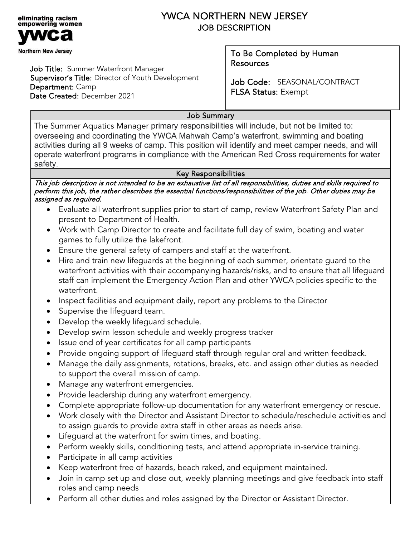

# YWCA NORTHERN NEW JERSEY JOB DESCRIPTION

Job Title: Summer Waterfront Manager Supervisor's Title: Director of Youth Development Department: Camp Date Created: December 2021

## To Be Completed by Human Resources

Job Code: SEASONAL/CONTRACT FLSA Status: Exempt

# Job Summary

The Summer Aquatics Manager primary responsibilities will include, but not be limited to: overseeing and coordinating the YWCA Mahwah Camp's waterfront, swimming and boating activities during all 9 weeks of camp. This position will identify and meet camper needs, and will operate waterfront programs in compliance with the American Red Cross requirements for water safety.

### Key Responsibilities

This job description is not intended to be an exhaustive list of all responsibilities, duties and skills required to perform this job, the rather describes the essential functions/responsibilities of the job. Other duties may be assigned as required.

- Evaluate all waterfront supplies prior to start of camp, review Waterfront Safety Plan and present to Department of Health.
- Work with Camp Director to create and facilitate full day of swim, boating and water games to fully utilize the lakefront.
- Ensure the general safety of campers and staff at the waterfront.
- Hire and train new lifeguards at the beginning of each summer, orientate guard to the waterfront activities with their accompanying hazards/risks, and to ensure that all lifeguard staff can implement the Emergency Action Plan and other YWCA policies specific to the waterfront.
- Inspect facilities and equipment daily, report any problems to the Director
- Supervise the lifeguard team.
- Develop the weekly lifeguard schedule.
- Develop swim lesson schedule and weekly progress tracker
- Issue end of year certificates for all camp participants
- Provide ongoing support of lifeguard staff through regular oral and written feedback.
- Manage the daily assignments, rotations, breaks, etc. and assign other duties as needed to support the overall mission of camp.
- Manage any waterfront emergencies.
- Provide leadership during any waterfront emergency.
- Complete appropriate follow-up documentation for any waterfront emergency or rescue.
- Work closely with the Director and Assistant Director to schedule/reschedule activities and to assign guards to provide extra staff in other areas as needs arise.
- Lifeguard at the waterfront for swim times, and boating.
- Perform weekly skills, conditioning tests, and attend appropriate in-service training.
- Participate in all camp activities
- Keep waterfront free of hazards, beach raked, and equipment maintained.
- Join in camp set up and close out, weekly planning meetings and give feedback into staff roles and camp needs
- Perform all other duties and roles assigned by the Director or Assistant Director.